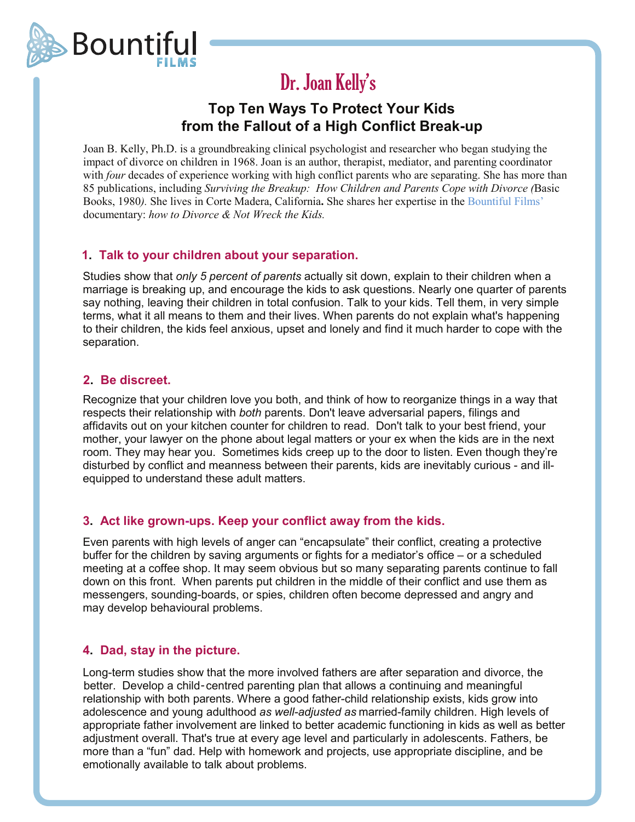

#### Dr. Joan Kelly s '

# **Top Ten Ways To Protect Your Kids from the Fallout of a High Conflict Break-up**

Joan B. Kelly, Ph.D. is a groundbreaking clinical psychologist and researcher who began studying the impact of divorce on children in 1968. Joan is an author, therapist, mediator, and parenting coordinator with *four* decades of experience working with high conflict parents who are separating. She has more than 85 publications, including *Surviving the Breakup: How Children and Parents Cope with Divorce (*Basic Books, 1980*).* She lives in Corte Madera, California**.** She shares her expertise in the Bountiful Films' documentary: *how to Divorce & Not Wreck the Kids.*

# **1. Talk to your children about your separation.**

Studies show that *only 5 percent of parents* actually sit down, explain to their children when a marriage is breaking up, and encourage the kids to ask questions. Nearly one quarter of parents say nothing, leaving their children in total confusion. Talk to your kids. Tell them, in very simple terms, what it all means to them and their lives. When parents do not explain what's happening to their children, the kids feel anxious, upset and lonely and find it much harder to cope with the separation.

# **2. Be discreet.**

Recognize that your children love you both, and think of how to reorganize things in a way that respects their relationship with *both* parents. Don't leave adversarial papers, filings and affidavits out on your kitchen counter for children to read. Don't talk to your best friend, your mother, your lawyer on the phone about legal matters or your ex when the kids are in the next room. They may hear you. Sometimes kids creep up to the door to listen. Even though they're disturbed by conflict and meanness between their parents, kids are inevitably curious - and illequipped to understand these adult matters.

# **3. Act like grown-ups. Keep your conflict away from the kids.**

Even parents with high levels of anger can "encapsulate" their conflict, creating a protective buffer for the children by saving arguments or fights for a mediator's office – or a scheduled meeting at a coffee shop. It may seem obvious but so many separating parents continue to fall down on this front. When parents put children in the middle of their conflict and use them as messengers, sounding-boards, or spies, children often become depressed and angry and may develop behavioural problems.

# **4. Dad, stay in the picture.**

Long-term studies show that the more involved fathers are after separation and divorce, the better. Develop a child-centred parenting plan that allows a continuing and meaningful relationship with both parents. Where a good father-child relationship exists, kids grow into adolescence and young adulthood *as well-adjusted as* married-family children. High levels of appropriate father involvement are linked to better academic functioning in kids as well as better adjustment overall. That's true at every age level and particularly in adolescents. Fathers, be more than a "fun" dad. Help with homework and projects, use appropriate discipline, and be emotionally available to talk about problems.